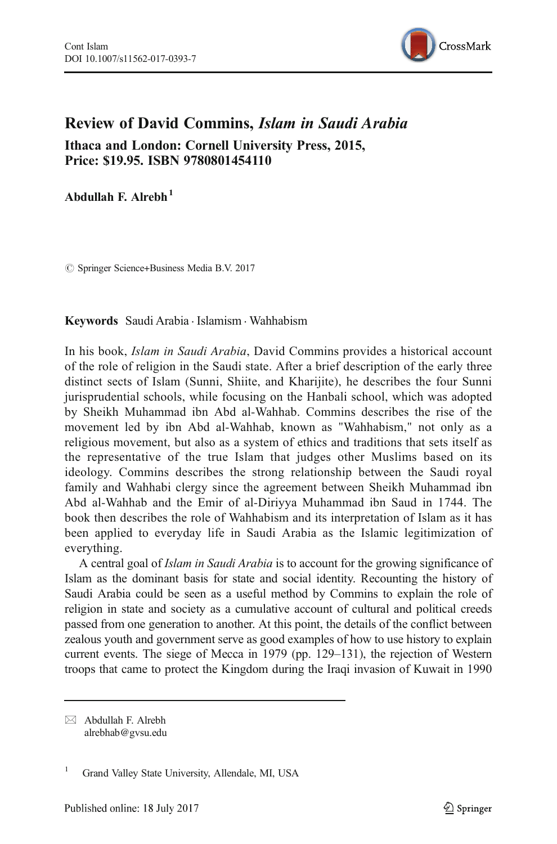

## Review of David Commins, Islam in Saudi Arabia Ithaca and London: Cornell University Press, 2015, Price: \$19.95. ISBN 9780801454110

Abdullah F. Alrebh $<sup>1</sup>$ </sup>

 $\oslash$  Springer Science+Business Media B.V. 2017

Keywords Saudi Arabia . Islamism . Wahhabism

In his book, Islam in Saudi Arabia, David Commins provides a historical account of the role of religion in the Saudi state. After a brief description of the early three distinct sects of Islam (Sunni, Shiite, and Kharijite), he describes the four Sunni jurisprudential schools, while focusing on the Hanbali school, which was adopted by Sheikh Muhammad ibn Abd al-Wahhab. Commins describes the rise of the movement led by ibn Abd al-Wahhab, known as "Wahhabism," not only as a religious movement, but also as a system of ethics and traditions that sets itself as the representative of the true Islam that judges other Muslims based on its ideology. Commins describes the strong relationship between the Saudi royal family and Wahhabi clergy since the agreement between Sheikh Muhammad ibn Abd al-Wahhab and the Emir of al-Diriyya Muhammad ibn Saud in 1744. The book then describes the role of Wahhabism and its interpretation of Islam as it has been applied to everyday life in Saudi Arabia as the Islamic legitimization of everything.

A central goal of Islam in Saudi Arabia is to account for the growing significance of Islam as the dominant basis for state and social identity. Recounting the history of Saudi Arabia could be seen as a useful method by Commins to explain the role of religion in state and society as a cumulative account of cultural and political creeds passed from one generation to another. At this point, the details of the conflict between zealous youth and government serve as good examples of how to use history to explain current events. The siege of Mecca in 1979 (pp. 129–131), the rejection of Western troops that came to protect the Kingdom during the Iraqi invasion of Kuwait in 1990

 $\boxtimes$  Abdullah F. Alrebh [alrebhab@gvsu.edu](mailto:alrebhab@gvsu.edu)

<sup>&</sup>lt;sup>1</sup> Grand Valley State University, Allendale, MI, USA